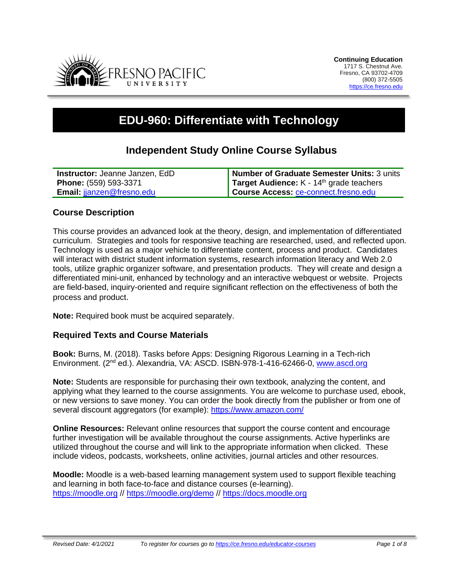

# **EDU-960: Differentiate with Technology**

# **Independent Study Online Course Syllabus**

| <b>Instructor: Jeanne Janzen, EdD</b> | Number of Graduate Semester Units: 3 units        |
|---------------------------------------|---------------------------------------------------|
| Phone: (559) 593-3371                 | <b>Target Audience:</b> $K - 14th$ grade teachers |
| Email: jianzen@fresno.edu             | Course Access: ce-connect.fresno.edu              |

# **Course Description**

This course provides an advanced look at the theory, design, and implementation of differentiated curriculum. Strategies and tools for responsive teaching are researched, used, and reflected upon. Technology is used as a major vehicle to differentiate content, process and product. Candidates will interact with district student information systems, research information literacy and Web 2.0 tools, utilize graphic organizer software, and presentation products. They will create and design a differentiated mini-unit, enhanced by technology and an interactive webquest or website. Projects are field-based, inquiry-oriented and require significant reflection on the effectiveness of both the process and product.

**Note:** Required book must be acquired separately.

#### **Required Texts and Course Materials**

**Book:** Burns, M. (2018). Tasks before Apps: Designing Rigorous Learning in a Tech-rich Environment. (2<sup>nd</sup> ed.). Alexandria, VA: ASCD. ISBN-978-1-416-62466-0, [www.ascd.org](http://www.ascd.org/)

**Note:** Students are responsible for purchasing their own textbook, analyzing the content, and applying what they learned to the course assignments. You are welcome to purchase used, ebook, or new versions to save money. You can order the book directly from the publisher or from one of several discount aggregators (for example):<https://www.amazon.com/>

**Online Resources:** Relevant online resources that support the course content and encourage further investigation will be available throughout the course assignments. Active hyperlinks are utilized throughout the course and will link to the appropriate information when clicked. These include videos, podcasts, worksheets, online activities, journal articles and other resources.

**Moodle:** Moodle is a web-based learning management system used to support flexible teaching and learning in both face-to-face and distance courses (e-learning). [https://moodle.org](https://moodle.org/) // <https://moodle.org/demo> // [https://docs.moodle.org](https://docs.moodle.org/)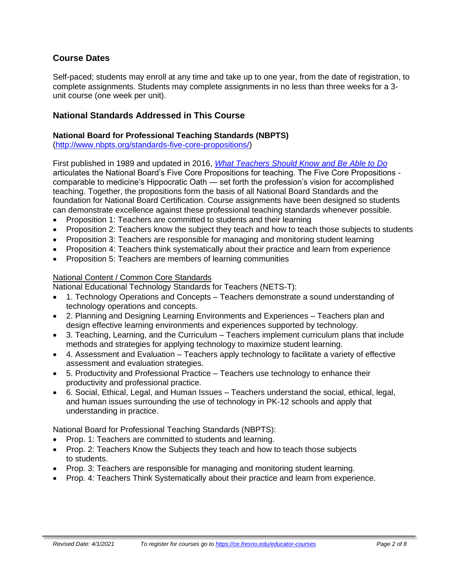# **Course Dates**

Self-paced; students may enroll at any time and take up to one year, from the date of registration, to complete assignments. Students may complete assignments in no less than three weeks for a 3 unit course (one week per unit).

# **National Standards Addressed in This Course**

#### **National Board for Professional Teaching Standards (NBPTS)**

[\(http://www.nbpts.org/standards-five-core-propositions/\)](http://www.nbpts.org/standards-five-core-propositions/)

First published in 1989 and updated in 2016, *[What Teachers Should Know and Be Able to Do](http://www.accomplishedteacher.org/)* articulates the National Board's Five Core Propositions for teaching. The Five Core Propositions comparable to medicine's Hippocratic Oath — set forth the profession's vision for accomplished teaching. Together, the propositions form the basis of all National Board Standards and the foundation for National Board Certification. Course assignments have been designed so students can demonstrate excellence against these professional teaching standards whenever possible.

- Proposition 1: Teachers are committed to students and their learning
- Proposition 2: Teachers know the subject they teach and how to teach those subjects to students
- Proposition 3: Teachers are responsible for managing and monitoring student learning
- Proposition 4: Teachers think systematically about their practice and learn from experience
- Proposition 5: Teachers are members of learning communities

#### National Content / Common Core Standards

National Educational Technology Standards for Teachers (NETS-T):

- 1. Technology Operations and Concepts Teachers demonstrate a sound understanding of technology operations and concepts.
- 2. Planning and Designing Learning Environments and Experiences Teachers plan and design effective learning environments and experiences supported by technology.
- 3. Teaching, Learning, and the Curriculum Teachers implement curriculum plans that include methods and strategies for applying technology to maximize student learning.
- 4. Assessment and Evaluation Teachers apply technology to facilitate a variety of effective assessment and evaluation strategies.
- 5. Productivity and Professional Practice Teachers use technology to enhance their productivity and professional practice.
- 6. Social, Ethical, Legal, and Human Issues Teachers understand the social, ethical, legal, and human issues surrounding the use of technology in PK-12 schools and apply that understanding in practice.

National Board for Professional Teaching Standards (NBPTS):

- Prop. 1: Teachers are committed to students and learning.
- Prop. 2: Teachers Know the Subjects they teach and how to teach those subjects to students.
- Prop. 3: Teachers are responsible for managing and monitoring student learning.
- Prop. 4: Teachers Think Systematically about their practice and learn from experience.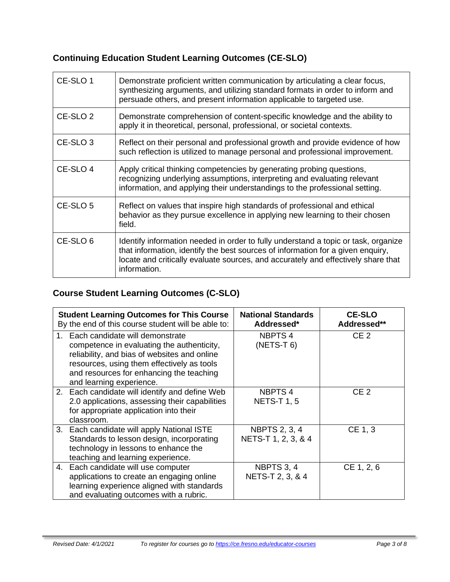# **Continuing Education Student Learning Outcomes (CE-SLO)**

| CE-SLO 1            | Demonstrate proficient written communication by articulating a clear focus,<br>synthesizing arguments, and utilizing standard formats in order to inform and<br>persuade others, and present information applicable to targeted use.                                       |
|---------------------|----------------------------------------------------------------------------------------------------------------------------------------------------------------------------------------------------------------------------------------------------------------------------|
| CE-SLO <sub>2</sub> | Demonstrate comprehension of content-specific knowledge and the ability to<br>apply it in theoretical, personal, professional, or societal contexts.                                                                                                                       |
| CE-SLO <sub>3</sub> | Reflect on their personal and professional growth and provide evidence of how<br>such reflection is utilized to manage personal and professional improvement.                                                                                                              |
| CE-SLO <sub>4</sub> | Apply critical thinking competencies by generating probing questions,<br>recognizing underlying assumptions, interpreting and evaluating relevant<br>information, and applying their understandings to the professional setting.                                           |
| CE-SLO 5            | Reflect on values that inspire high standards of professional and ethical<br>behavior as they pursue excellence in applying new learning to their chosen<br>field.                                                                                                         |
| CE-SLO 6            | Identify information needed in order to fully understand a topic or task, organize<br>that information, identify the best sources of information for a given enquiry,<br>locate and critically evaluate sources, and accurately and effectively share that<br>information. |

# **Course Student Learning Outcomes (C-SLO)**

| <b>Student Learning Outcomes for This Course</b><br>By the end of this course student will be able to:                                                                                                                                              | <b>National Standards</b><br>Addressed*     | <b>CE-SLO</b><br>Addressed** |
|-----------------------------------------------------------------------------------------------------------------------------------------------------------------------------------------------------------------------------------------------------|---------------------------------------------|------------------------------|
| Each candidate will demonstrate<br>competence in evaluating the authenticity,<br>reliability, and bias of websites and online<br>resources, using them effectively as tools<br>and resources for enhancing the teaching<br>and learning experience. | NBPTS <sub>4</sub><br>$(NETS-T 6)$          | CE <sub>2</sub>              |
| 2. Each candidate will identify and define Web<br>2.0 applications, assessing their capabilities<br>for appropriate application into their<br>classroom.                                                                                            | NBPTS 4<br><b>NETS-T 1, 5</b>               | CE <sub>2</sub>              |
| 3. Each candidate will apply National ISTE<br>Standards to lesson design, incorporating<br>technology in lessons to enhance the<br>teaching and learning experience.                                                                                | <b>NBPTS 2, 3, 4</b><br>NETS-T 1, 2, 3, & 4 | CE 1, 3                      |
| 4. Each candidate will use computer<br>applications to create an engaging online<br>learning experience aligned with standards<br>and evaluating outcomes with a rubric.                                                                            | NBPTS 3, 4<br>NETS-T 2, 3, & 4              | CE 1, 2, 6                   |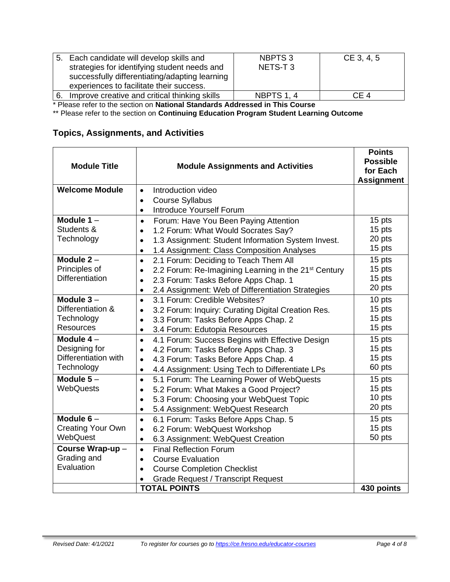|                                                                                | 5. Each candidate will develop skills and<br>strategies for identifying student needs and<br>successfully differentiating/adapting learning<br>experiences to facilitate their success. | NBPTS <sub>3</sub><br>NETS-T3 | CE 3, 4, 5 |
|--------------------------------------------------------------------------------|-----------------------------------------------------------------------------------------------------------------------------------------------------------------------------------------|-------------------------------|------------|
| 6.                                                                             | Improve creative and critical thinking skills                                                                                                                                           | <b>NBPTS 1, 4</b>             | CF 4       |
| * Dissourcedorum des soudons an National Otanglanda, Antgassand in This Oscope |                                                                                                                                                                                         |                               |            |

\* Please refer to the section on **National Standards Addressed in This Course**

\*\* Please refer to the section on **Continuing Education Program Student Learning Outcome**

# **Topics, Assignments, and Activities**

| <b>Module Title</b>                                                | <b>Module Assignments and Activities</b>                                                                                                                                                                                                                   | <b>Points</b><br><b>Possible</b><br>for Each<br><b>Assignment</b> |
|--------------------------------------------------------------------|------------------------------------------------------------------------------------------------------------------------------------------------------------------------------------------------------------------------------------------------------------|-------------------------------------------------------------------|
| <b>Welcome Module</b>                                              | Introduction video<br>$\bullet$<br><b>Course Syllabus</b><br>$\bullet$<br><b>Introduce Yourself Forum</b><br>$\bullet$                                                                                                                                     |                                                                   |
| Module $1 -$<br>Students &<br>Technology                           | Forum: Have You Been Paying Attention<br>$\bullet$<br>1.2 Forum: What Would Socrates Say?<br>$\bullet$<br>1.3 Assignment: Student Information System Invest.<br>$\bullet$<br>1.4 Assignment: Class Composition Analyses<br>$\bullet$                       | 15 pts<br>15 pts<br>20 pts<br>15 pts                              |
| Module $2 -$<br>Principles of<br><b>Differentiation</b>            | 2.1 Forum: Deciding to Teach Them All<br>$\bullet$<br>2.2 Forum: Re-Imagining Learning in the 21 <sup>st</sup> Century<br>$\bullet$<br>2.3 Forum: Tasks Before Apps Chap. 1<br>$\bullet$<br>2.4 Assignment: Web of Differentiation Strategies<br>$\bullet$ | 15 pts<br>15 pts<br>15 pts<br>20 pts                              |
| Module $3-$<br>Differentiation &<br>Technology<br><b>Resources</b> | 3.1 Forum: Credible Websites?<br>$\bullet$<br>3.2 Forum: Inquiry: Curating Digital Creation Res.<br>$\bullet$<br>3.3 Forum: Tasks Before Apps Chap. 2<br>$\bullet$<br>3.4 Forum: Edutopia Resources<br>$\bullet$                                           | 10 pts<br>15 pts<br>15 pts<br>15 pts                              |
| Module $4-$<br>Designing for<br>Differentiation with<br>Technology | 4.1 Forum: Success Begins with Effective Design<br>$\bullet$<br>4.2 Forum: Tasks Before Apps Chap. 3<br>$\bullet$<br>4.3 Forum: Tasks Before Apps Chap. 4<br>$\bullet$<br>4.4 Assignment: Using Tech to Differentiate LPs<br>$\bullet$                     | $\overline{15}$ pts<br>15 pts<br>15 pts<br>60 pts                 |
| Module $5-$<br><b>WebQuests</b>                                    | 5.1 Forum: The Learning Power of WebQuests<br>$\bullet$<br>5.2 Forum: What Makes a Good Project?<br>$\bullet$<br>5.3 Forum: Choosing your WebQuest Topic<br>$\bullet$<br>5.4 Assignment: WebQuest Research<br>$\bullet$                                    | 15 pts<br>15 pts<br>10 pts<br>20 pts                              |
| Module $6-$<br><b>Creating Your Own</b><br>WebQuest                | 6.1 Forum: Tasks Before Apps Chap. 5<br>$\bullet$<br>6.2 Forum: WebQuest Workshop<br>$\bullet$<br>6.3 Assignment: WebQuest Creation<br>$\bullet$                                                                                                           | 15 pts<br>15 pts<br>50 pts                                        |
| Course Wrap-up-<br>Grading and<br>Evaluation                       | <b>Final Reflection Forum</b><br>$\bullet$<br><b>Course Evaluation</b><br>$\bullet$<br><b>Course Completion Checklist</b><br>$\bullet$<br><b>Grade Request / Transcript Request</b><br><b>TOTAL POINTS</b>                                                 | 430 points                                                        |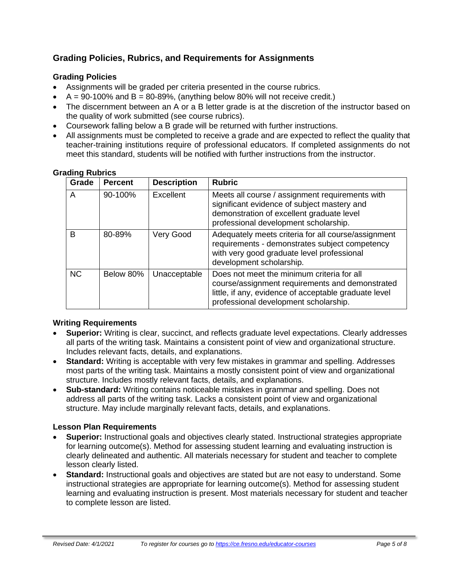# **Grading Policies, Rubrics, and Requirements for Assignments**

### **Grading Policies**

- Assignments will be graded per criteria presented in the course rubrics.
- $A = 90-100\%$  and  $B = 80-89\%$ , (anything below 80% will not receive credit.)
- The discernment between an A or a B letter grade is at the discretion of the instructor based on the quality of work submitted (see course rubrics).
- Coursework falling below a B grade will be returned with further instructions.
- All assignments must be completed to receive a grade and are expected to reflect the quality that teacher-training institutions require of professional educators. If completed assignments do not meet this standard, students will be notified with further instructions from the instructor.

| Grade     | <b>Percent</b> | <b>Description</b> | <b>Rubric</b>                                                                                                                                                                                   |
|-----------|----------------|--------------------|-------------------------------------------------------------------------------------------------------------------------------------------------------------------------------------------------|
| A         | 90-100%        | Excellent          | Meets all course / assignment requirements with<br>significant evidence of subject mastery and<br>demonstration of excellent graduate level<br>professional development scholarship.            |
| в         | 80-89%         | Very Good          | Adequately meets criteria for all course/assignment<br>requirements - demonstrates subject competency<br>with very good graduate level professional<br>development scholarship.                 |
| <b>NC</b> | Below 80%      | Unacceptable       | Does not meet the minimum criteria for all<br>course/assignment requirements and demonstrated<br>little, if any, evidence of acceptable graduate level<br>professional development scholarship. |

#### **Grading Rubrics**

#### **Writing Requirements**

- **Superior:** Writing is clear, succinct, and reflects graduate level expectations. Clearly addresses all parts of the writing task. Maintains a consistent point of view and organizational structure. Includes relevant facts, details, and explanations.
- **Standard:** Writing is acceptable with very few mistakes in grammar and spelling. Addresses most parts of the writing task. Maintains a mostly consistent point of view and organizational structure. Includes mostly relevant facts, details, and explanations.
- **Sub-standard:** Writing contains noticeable mistakes in grammar and spelling. Does not address all parts of the writing task. Lacks a consistent point of view and organizational structure. May include marginally relevant facts, details, and explanations.

#### **Lesson Plan Requirements**

- **Superior:** Instructional goals and objectives clearly stated. Instructional strategies appropriate for learning outcome(s). Method for assessing student learning and evaluating instruction is clearly delineated and authentic. All materials necessary for student and teacher to complete lesson clearly listed.
- **Standard:** Instructional goals and objectives are stated but are not easy to understand. Some instructional strategies are appropriate for learning outcome(s). Method for assessing student learning and evaluating instruction is present. Most materials necessary for student and teacher to complete lesson are listed.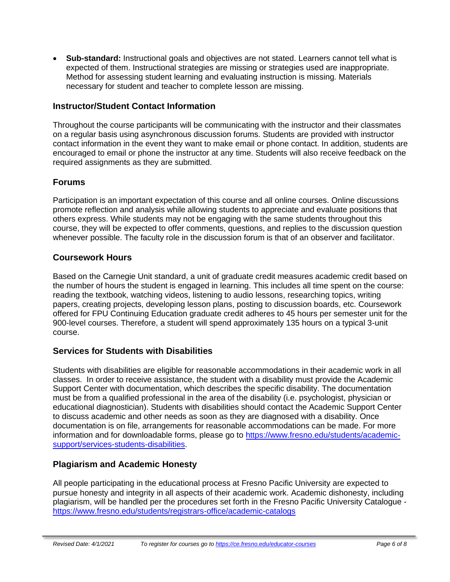• **Sub-standard:** Instructional goals and objectives are not stated. Learners cannot tell what is expected of them. Instructional strategies are missing or strategies used are inappropriate. Method for assessing student learning and evaluating instruction is missing. Materials necessary for student and teacher to complete lesson are missing.

# **Instructor/Student Contact Information**

Throughout the course participants will be communicating with the instructor and their classmates on a regular basis using asynchronous discussion forums. Students are provided with instructor contact information in the event they want to make email or phone contact. In addition, students are encouraged to email or phone the instructor at any time. Students will also receive feedback on the required assignments as they are submitted.

# **Forums**

Participation is an important expectation of this course and all online courses. Online discussions promote reflection and analysis while allowing students to appreciate and evaluate positions that others express. While students may not be engaging with the same students throughout this course, they will be expected to offer comments, questions, and replies to the discussion question whenever possible. The faculty role in the discussion forum is that of an observer and facilitator.

# **Coursework Hours**

Based on the Carnegie Unit standard, a unit of graduate credit measures academic credit based on the number of hours the student is engaged in learning. This includes all time spent on the course: reading the textbook, watching videos, listening to audio lessons, researching topics, writing papers, creating projects, developing lesson plans, posting to discussion boards, etc. Coursework offered for FPU Continuing Education graduate credit adheres to 45 hours per semester unit for the 900-level courses. Therefore, a student will spend approximately 135 hours on a typical 3-unit course.

# **Services for Students with Disabilities**

Students with disabilities are eligible for reasonable accommodations in their academic work in all classes. In order to receive assistance, the student with a disability must provide the Academic Support Center with documentation, which describes the specific disability. The documentation must be from a qualified professional in the area of the disability (i.e. psychologist, physician or educational diagnostician). Students with disabilities should contact the Academic Support Center to discuss academic and other needs as soon as they are diagnosed with a disability. Once documentation is on file, arrangements for reasonable accommodations can be made. For more information and for downloadable forms, please go to [https://www.fresno.edu/students/academic](https://www.fresno.edu/students/academic-support/services-students-disabilities)[support/services-students-disabilities.](https://www.fresno.edu/students/academic-support/services-students-disabilities)

# **Plagiarism and Academic Honesty**

All people participating in the educational process at Fresno Pacific University are expected to pursue honesty and integrity in all aspects of their academic work. Academic dishonesty, including plagiarism, will be handled per the procedures set forth in the Fresno Pacific University Catalogue <https://www.fresno.edu/students/registrars-office/academic-catalogs>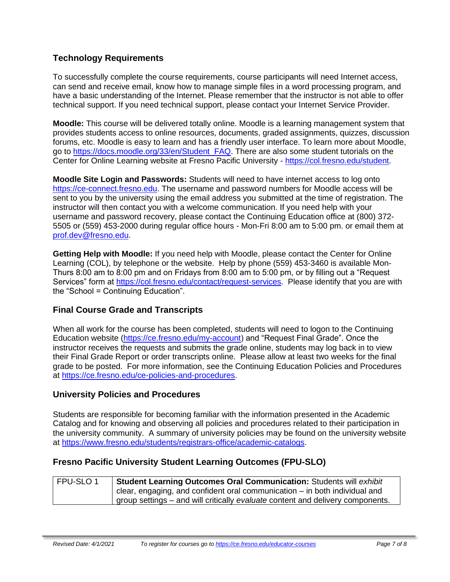# **Technology Requirements**

To successfully complete the course requirements, course participants will need Internet access, can send and receive email, know how to manage simple files in a word processing program, and have a basic understanding of the Internet. Please remember that the instructor is not able to offer technical support. If you need technical support, please contact your Internet Service Provider.

**Moodle:** This course will be delivered totally online. Moodle is a learning management system that provides students access to online resources, documents, graded assignments, quizzes, discussion forums, etc. Moodle is easy to learn and has a friendly user interface. To learn more about Moodle, go to [https://docs.moodle.org/33/en/Student\\_FAQ.](https://docs.moodle.org/33/en/Student_FAQ) There are also some student tutorials on the Center for Online Learning website at Fresno Pacific University - [https://col.fresno.edu/student.](https://col.fresno.edu/student)

**Moodle Site Login and Passwords:** Students will need to have internet access to log onto [https://ce-connect.fresno.edu.](https://ce-connect.fresno.edu/) The username and password numbers for Moodle access will be sent to you by the university using the email address you submitted at the time of registration. The instructor will then contact you with a welcome communication. If you need help with your username and password recovery, please contact the Continuing Education office at (800) 372- 5505 or (559) 453-2000 during regular office hours - Mon-Fri 8:00 am to 5:00 pm. or email them at [prof.dev@fresno.edu.](mailto:prof.dev@fresno.edu)

**Getting Help with Moodle:** If you need help with Moodle, please contact the Center for Online Learning (COL), by telephone or the website. Help by phone (559) 453-3460 is available Mon-Thurs 8:00 am to 8:00 pm and on Fridays from 8:00 am to 5:00 pm, or by filling out a "Request Services" form at [https://col.fresno.edu/contact/request-services.](https://col.fresno.edu/contact/request-services) Please identify that you are with the "School = Continuing Education".

# **Final Course Grade and Transcripts**

When all work for the course has been completed, students will need to logon to the Continuing Education website [\(https://ce.fresno.edu/my-account\)](https://ce.fresno.edu/my-account) and "Request Final Grade". Once the instructor receives the requests and submits the grade online, students may log back in to view their Final Grade Report or order transcripts online. Please allow at least two weeks for the final grade to be posted. For more information, see the Continuing Education Policies and Procedures at [https://ce.fresno.edu/ce-policies-and-procedures.](https://ce.fresno.edu/ce-policies-and-procedures)

# **University Policies and Procedures**

Students are responsible for becoming familiar with the information presented in the Academic Catalog and for knowing and observing all policies and procedures related to their participation in the university community. A summary of university policies may be found on the university website at [https://www.fresno.edu/students/registrars-office/academic-catalogs.](https://www.fresno.edu/students/registrars-office/academic-catalogs)

# **Fresno Pacific University Student Learning Outcomes (FPU-SLO)**

| FPU-SLO1 | Student Learning Outcomes Oral Communication: Students will exhibit            |
|----------|--------------------------------------------------------------------------------|
|          | clear, engaging, and confident oral communication $-$ in both individual and   |
|          | group settings – and will critically evaluate content and delivery components. |